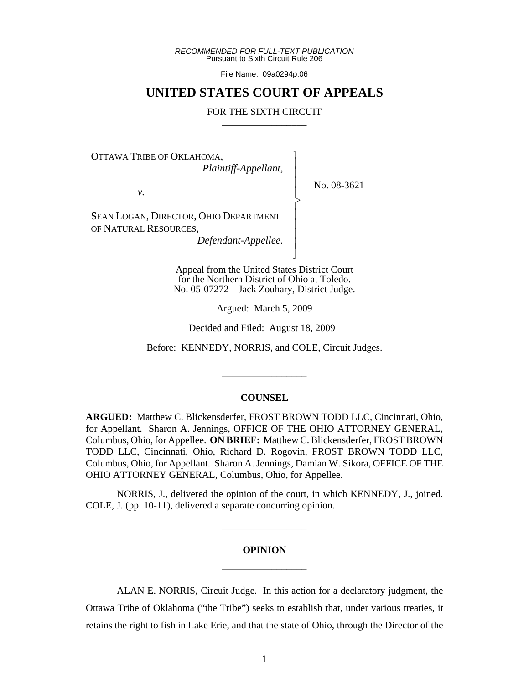*RECOMMENDED FOR FULL-TEXT PUBLICATION* Pursuant to Sixth Circuit Rule 206

File Name: 09a0294p.06

## **UNITED STATES COURT OF APPEALS**

#### FOR THE SIXTH CIRCUIT

 $\overline{\phantom{a}}$ - - - -  $\triangleright$ , - - - -  $\overline{\phantom{a}}$ 

OTTAWA TRIBE OF OKLAHOMA,

*Plaintiff-Appellant,*

No. 08-3621

*v.*

SEAN LOGAN, DIRECTOR, OHIO DEPARTMENT OF NATURAL RESOURCES,

*Defendant-Appellee.*

Appeal from the United States District Court for the Northern District of Ohio at Toledo. No. 05-07272—Jack Zouhary, District Judge.

Argued: March 5, 2009

Decided and Filed: August 18, 2009

Before: KENNEDY, NORRIS, and COLE, Circuit Judges.

\_\_\_\_\_\_\_\_\_\_\_\_\_\_\_\_\_

## **COUNSEL**

**ARGUED:** Matthew C. Blickensderfer, FROST BROWN TODD LLC, Cincinnati, Ohio, for Appellant. Sharon A. Jennings, OFFICE OF THE OHIO ATTORNEY GENERAL, Columbus, Ohio, for Appellee. **ON BRIEF:** Matthew C. Blickensderfer, FROST BROWN TODD LLC, Cincinnati, Ohio, Richard D. Rogovin, FROST BROWN TODD LLC, Columbus, Ohio, for Appellant. Sharon A. Jennings, Damian W. Sikora, OFFICE OF THE OHIO ATTORNEY GENERAL, Columbus, Ohio, for Appellee.

NORRIS, J., delivered the opinion of the court, in which KENNEDY, J., joined. COLE, J. (pp. 10-11), delivered a separate concurring opinion.

**\_\_\_\_\_\_\_\_\_\_\_\_\_\_\_\_\_**

# **OPINION \_\_\_\_\_\_\_\_\_\_\_\_\_\_\_\_\_**

ALAN E. NORRIS, Circuit Judge. In this action for a declaratory judgment, the Ottawa Tribe of Oklahoma ("the Tribe") seeks to establish that, under various treaties, it retains the right to fish in Lake Erie, and that the state of Ohio, through the Director of the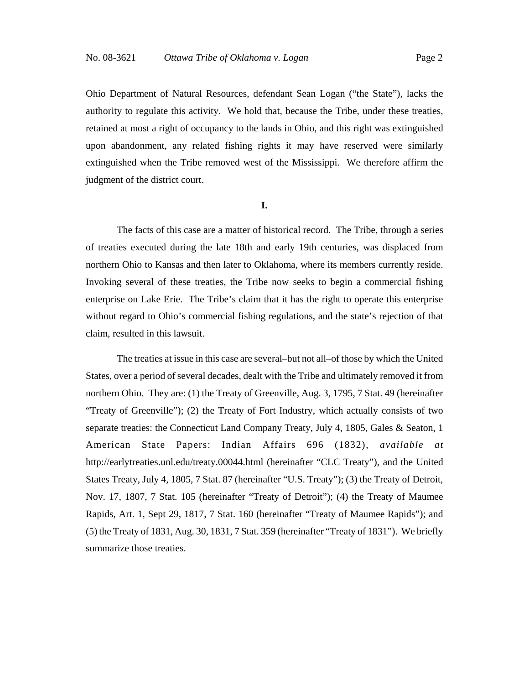Ohio Department of Natural Resources, defendant Sean Logan ("the State"), lacks the authority to regulate this activity. We hold that, because the Tribe, under these treaties, retained at most a right of occupancy to the lands in Ohio, and this right was extinguished upon abandonment, any related fishing rights it may have reserved were similarly extinguished when the Tribe removed west of the Mississippi. We therefore affirm the judgment of the district court.

#### **I.**

The facts of this case are a matter of historical record. The Tribe, through a series of treaties executed during the late 18th and early 19th centuries, was displaced from northern Ohio to Kansas and then later to Oklahoma, where its members currently reside. Invoking several of these treaties, the Tribe now seeks to begin a commercial fishing enterprise on Lake Erie. The Tribe's claim that it has the right to operate this enterprise without regard to Ohio's commercial fishing regulations, and the state's rejection of that claim, resulted in this lawsuit.

The treaties at issue in this case are several–but not all–of those by which the United States, over a period of several decades, dealt with the Tribe and ultimately removed it from northern Ohio. They are: (1) the Treaty of Greenville, Aug. 3, 1795, 7 Stat. 49 (hereinafter "Treaty of Greenville"); (2) the Treaty of Fort Industry, which actually consists of two separate treaties: the Connecticut Land Company Treaty, July 4, 1805, Gales & Seaton, 1 American State Papers: Indian Affairs 696 (1832), *available at* http://earlytreaties.unl.edu/treaty.00044.html (hereinafter "CLC Treaty"), and the United States Treaty, July 4, 1805, 7 Stat. 87 (hereinafter "U.S. Treaty"); (3) the Treaty of Detroit, Nov. 17, 1807, 7 Stat. 105 (hereinafter "Treaty of Detroit"); (4) the Treaty of Maumee Rapids, Art. 1, Sept 29, 1817, 7 Stat. 160 (hereinafter "Treaty of Maumee Rapids"); and (5) the Treaty of 1831, Aug. 30, 1831, 7 Stat. 359 (hereinafter "Treaty of 1831"). We briefly summarize those treaties.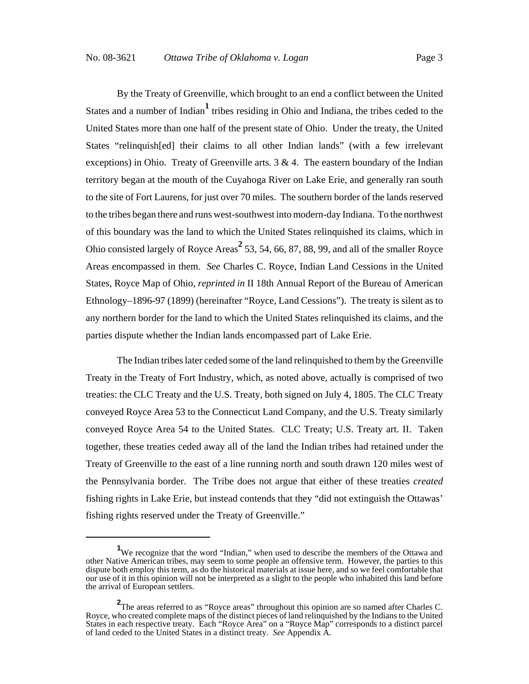By the Treaty of Greenville, which brought to an end a conflict between the United States and a number of Indian<sup>1</sup> tribes residing in Ohio and Indiana, the tribes ceded to the United States more than one half of the present state of Ohio. Under the treaty, the United States "relinquish[ed] their claims to all other Indian lands" (with a few irrelevant exceptions) in Ohio. Treaty of Greenville arts.  $3 \& 4$ . The eastern boundary of the Indian territory began at the mouth of the Cuyahoga River on Lake Erie, and generally ran south to the site of Fort Laurens, for just over 70 miles. The southern border of the lands reserved to the tribes began there and runs west-southwest into modern-day Indiana. To the northwest of this boundary was the land to which the United States relinquished its claims, which in Ohio consisted largely of Royce Areas<sup>2</sup> 53, 54, 66, 87, 88, 99, and all of the smaller Royce Areas encompassed in them. *See* Charles C. Royce, Indian Land Cessions in the United States, Royce Map of Ohio, *reprinted in* II 18th Annual Report of the Bureau of American Ethnology–1896-97 (1899) (hereinafter "Royce, Land Cessions"). The treaty is silent as to any northern border for the land to which the United States relinquished its claims, and the parties dispute whether the Indian lands encompassed part of Lake Erie.

The Indian tribes later ceded some of the land relinquished to them by the Greenville Treaty in the Treaty of Fort Industry, which, as noted above, actually is comprised of two treaties: the CLC Treaty and the U.S. Treaty, both signed on July 4, 1805. The CLC Treaty conveyed Royce Area 53 to the Connecticut Land Company, and the U.S. Treaty similarly conveyed Royce Area 54 to the United States. CLC Treaty; U.S. Treaty art. II. Taken together, these treaties ceded away all of the land the Indian tribes had retained under the Treaty of Greenville to the east of a line running north and south drawn 120 miles west of the Pennsylvania border. The Tribe does not argue that either of these treaties *created* fishing rights in Lake Erie, but instead contends that they "did not extinguish the Ottawas' fishing rights reserved under the Treaty of Greenville."

<sup>&</sup>lt;sup>1</sup>We recognize that the word "Indian," when used to describe the members of the Ottawa and other Native American tribes, may seem to some people an offensive term. However, the parties to this dispute both employ this term, as do the historical materials at issue here, and so we feel comfortable that our use of it in this opinion will not be interpreted as a slight to the people who inhabited this land before the arrival of European settlers.

**<sup>2</sup>** The areas referred to as "Royce areas" throughout this opinion are so named after Charles C. Royce, who created complete maps of the distinct pieces of land relinquished by the Indians to the United States in each respective treaty. Each "Royce Area" on a "Royce Map" corresponds to a distinct parcel of land ceded to the United States in a distinct treaty. *See* Appendix A.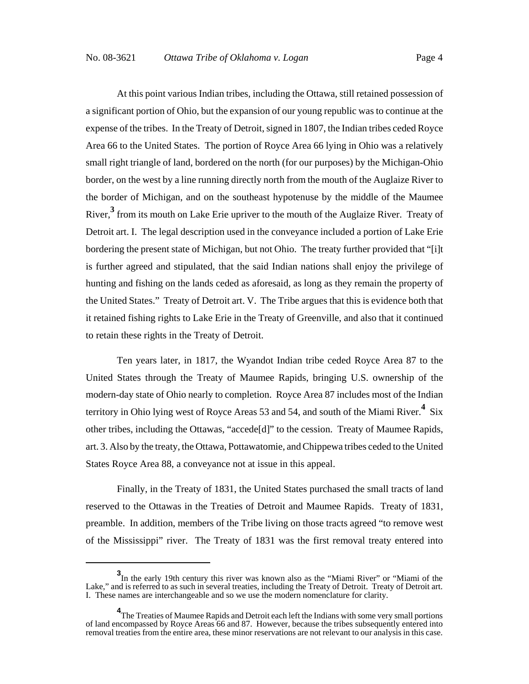At this point various Indian tribes, including the Ottawa, still retained possession of a significant portion of Ohio, but the expansion of our young republic was to continue at the expense of the tribes. In the Treaty of Detroit, signed in 1807, the Indian tribes ceded Royce Area 66 to the United States. The portion of Royce Area 66 lying in Ohio was a relatively small right triangle of land, bordered on the north (for our purposes) by the Michigan-Ohio border, on the west by a line running directly north from the mouth of the Auglaize River to the border of Michigan, and on the southeast hypotenuse by the middle of the Maumee River,**<sup>3</sup>** from its mouth on Lake Erie upriver to the mouth of the Auglaize River. Treaty of Detroit art. I. The legal description used in the conveyance included a portion of Lake Erie bordering the present state of Michigan, but not Ohio. The treaty further provided that "[i]t is further agreed and stipulated, that the said Indian nations shall enjoy the privilege of hunting and fishing on the lands ceded as aforesaid, as long as they remain the property of the United States." Treaty of Detroit art. V. The Tribe argues that this is evidence both that it retained fishing rights to Lake Erie in the Treaty of Greenville, and also that it continued to retain these rights in the Treaty of Detroit.

Ten years later, in 1817, the Wyandot Indian tribe ceded Royce Area 87 to the United States through the Treaty of Maumee Rapids, bringing U.S. ownership of the modern-day state of Ohio nearly to completion. Royce Area 87 includes most of the Indian territory in Ohio lying west of Royce Areas 53 and 54, and south of the Miami River.**<sup>4</sup>** Six other tribes, including the Ottawas, "accede[d]" to the cession. Treaty of Maumee Rapids, art. 3. Also by the treaty, the Ottawa, Pottawatomie, and Chippewa tribes ceded to the United States Royce Area 88, a conveyance not at issue in this appeal.

Finally, in the Treaty of 1831, the United States purchased the small tracts of land reserved to the Ottawas in the Treaties of Detroit and Maumee Rapids. Treaty of 1831, preamble. In addition, members of the Tribe living on those tracts agreed "to remove west of the Mississippi" river. The Treaty of 1831 was the first removal treaty entered into

**<sup>3</sup>** In the early 19th century this river was known also as the "Miami River" or "Miami of the Lake," and is referred to as such in several treaties, including the Treaty of Detroit. Treaty of Detroit art. I. These names are interchangeable and so we use the modern nomenclature for clarity.

**<sup>4</sup>** The Treaties of Maumee Rapids and Detroit each left the Indians with some very small portions of land encompassed by Royce Areas 66 and 87. However, because the tribes subsequently entered into removal treaties from the entire area, these minor reservations are not relevant to our analysis in this case.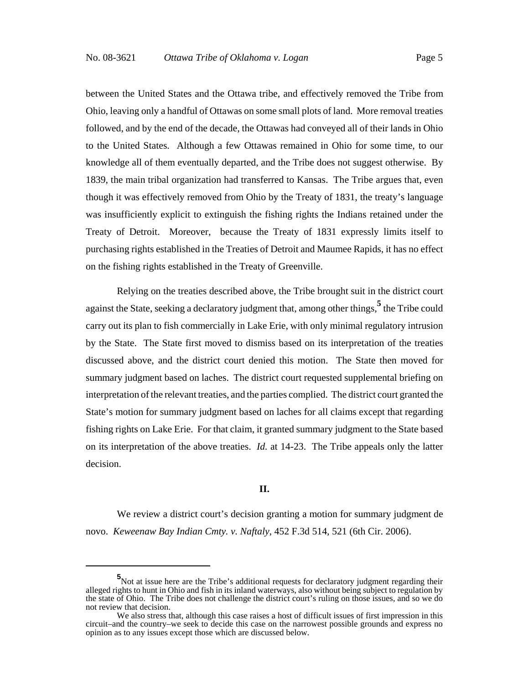between the United States and the Ottawa tribe, and effectively removed the Tribe from Ohio, leaving only a handful of Ottawas on some small plots of land. More removal treaties followed, and by the end of the decade, the Ottawas had conveyed all of their lands in Ohio to the United States. Although a few Ottawas remained in Ohio for some time, to our knowledge all of them eventually departed, and the Tribe does not suggest otherwise. By 1839, the main tribal organization had transferred to Kansas. The Tribe argues that, even though it was effectively removed from Ohio by the Treaty of 1831, the treaty's language was insufficiently explicit to extinguish the fishing rights the Indians retained under the Treaty of Detroit. Moreover, because the Treaty of 1831 expressly limits itself to purchasing rights established in the Treaties of Detroit and Maumee Rapids, it has no effect on the fishing rights established in the Treaty of Greenville.

Relying on the treaties described above, the Tribe brought suit in the district court against the State, seeking a declaratory judgment that, among other things, <sup>5</sup> the Tribe could carry out its plan to fish commercially in Lake Erie, with only minimal regulatory intrusion by the State. The State first moved to dismiss based on its interpretation of the treaties discussed above, and the district court denied this motion. The State then moved for summary judgment based on laches. The district court requested supplemental briefing on interpretation of the relevant treaties, and the parties complied. The district court granted the State's motion for summary judgment based on laches for all claims except that regarding fishing rights on Lake Erie. For that claim, it granted summary judgment to the State based on its interpretation of the above treaties. *Id.* at 14-23. The Tribe appeals only the latter decision.

#### **II.**

We review a district court's decision granting a motion for summary judgment de novo. *Keweenaw Bay Indian Cmty. v. Naftaly*, 452 F.3d 514, 521 (6th Cir. 2006).

**<sup>5</sup>** Not at issue here are the Tribe's additional requests for declaratory judgment regarding their alleged rights to hunt in Ohio and fish in its inland waterways, also without being subject to regulation by the state of Ohio. The Tribe does not challenge the district court's ruling on those issues, and so we do not review that decision.

We also stress that, although this case raises a host of difficult issues of first impression in this circuit–and the country–we seek to decide this case on the narrowest possible grounds and express no opinion as to any issues except those which are discussed below.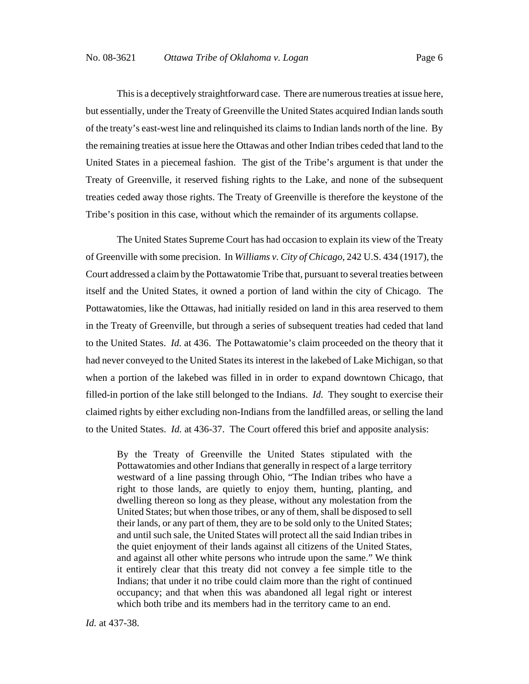This is a deceptively straightforward case. There are numerous treaties at issue here, but essentially, under the Treaty of Greenville the United States acquired Indian lands south of the treaty's east-west line and relinquished its claims to Indian lands north of the line. By the remaining treaties at issue here the Ottawas and other Indian tribes ceded that land to the United States in a piecemeal fashion. The gist of the Tribe's argument is that under the Treaty of Greenville, it reserved fishing rights to the Lake, and none of the subsequent treaties ceded away those rights. The Treaty of Greenville is therefore the keystone of the Tribe's position in this case, without which the remainder of its arguments collapse.

The United States Supreme Court has had occasion to explain its view of the Treaty of Greenville with some precision. In *Williams v. City of Chicago,* 242 U.S. 434 (1917), the Court addressed a claim by the Pottawatomie Tribe that, pursuant to several treaties between itself and the United States, it owned a portion of land within the city of Chicago. The Pottawatomies, like the Ottawas, had initially resided on land in this area reserved to them in the Treaty of Greenville, but through a series of subsequent treaties had ceded that land to the United States. *Id.* at 436. The Pottawatomie's claim proceeded on the theory that it had never conveyed to the United States its interest in the lakebed of Lake Michigan, so that when a portion of the lakebed was filled in in order to expand downtown Chicago, that filled-in portion of the lake still belonged to the Indians. *Id.* They sought to exercise their claimed rights by either excluding non-Indians from the landfilled areas, or selling the land to the United States. *Id.* at 436-37. The Court offered this brief and apposite analysis:

By the Treaty of Greenville the United States stipulated with the Pottawatomies and other Indians that generally in respect of a large territory westward of a line passing through Ohio, "The Indian tribes who have a right to those lands, are quietly to enjoy them, hunting, planting, and dwelling thereon so long as they please, without any molestation from the United States; but when those tribes, or any of them, shall be disposed to sell their lands, or any part of them, they are to be sold only to the United States; and until such sale, the United States will protect all the said Indian tribes in the quiet enjoyment of their lands against all citizens of the United States, and against all other white persons who intrude upon the same." We think it entirely clear that this treaty did not convey a fee simple title to the Indians; that under it no tribe could claim more than the right of continued occupancy; and that when this was abandoned all legal right or interest which both tribe and its members had in the territory came to an end.

*Id.* at 437-38.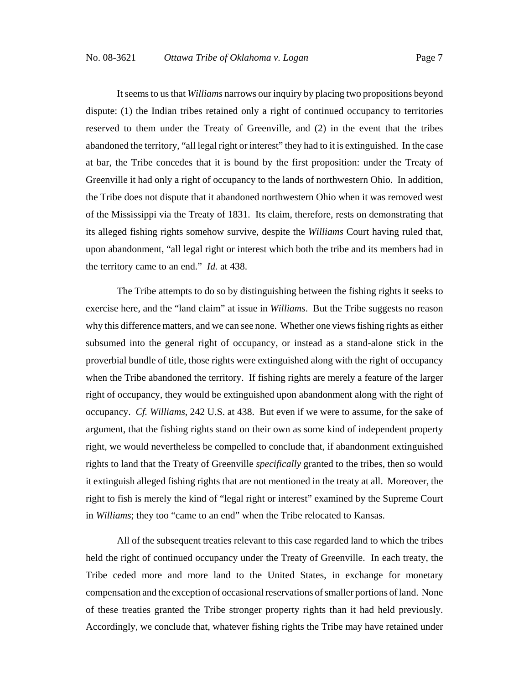It seems to us that *Williams* narrows our inquiry by placing two propositions beyond dispute: (1) the Indian tribes retained only a right of continued occupancy to territories reserved to them under the Treaty of Greenville, and (2) in the event that the tribes abandoned the territory, "all legal right or interest" they had to it is extinguished. In the case at bar, the Tribe concedes that it is bound by the first proposition: under the Treaty of Greenville it had only a right of occupancy to the lands of northwestern Ohio. In addition, the Tribe does not dispute that it abandoned northwestern Ohio when it was removed west of the Mississippi via the Treaty of 1831. Its claim, therefore, rests on demonstrating that its alleged fishing rights somehow survive, despite the *Williams* Court having ruled that, upon abandonment, "all legal right or interest which both the tribe and its members had in the territory came to an end." *Id.* at 438.

The Tribe attempts to do so by distinguishing between the fishing rights it seeks to exercise here, and the "land claim" at issue in *Williams*. But the Tribe suggests no reason why this difference matters, and we can see none. Whether one views fishing rights as either subsumed into the general right of occupancy, or instead as a stand-alone stick in the proverbial bundle of title, those rights were extinguished along with the right of occupancy when the Tribe abandoned the territory. If fishing rights are merely a feature of the larger right of occupancy, they would be extinguished upon abandonment along with the right of occupancy. *Cf. Williams*, 242 U.S. at 438. But even if we were to assume, for the sake of argument, that the fishing rights stand on their own as some kind of independent property right, we would nevertheless be compelled to conclude that, if abandonment extinguished rights to land that the Treaty of Greenville *specifically* granted to the tribes, then so would it extinguish alleged fishing rights that are not mentioned in the treaty at all. Moreover, the right to fish is merely the kind of "legal right or interest" examined by the Supreme Court in *Williams*; they too "came to an end" when the Tribe relocated to Kansas.

All of the subsequent treaties relevant to this case regarded land to which the tribes held the right of continued occupancy under the Treaty of Greenville. In each treaty, the Tribe ceded more and more land to the United States, in exchange for monetary compensation and the exception of occasional reservations of smaller portions of land. None of these treaties granted the Tribe stronger property rights than it had held previously. Accordingly, we conclude that, whatever fishing rights the Tribe may have retained under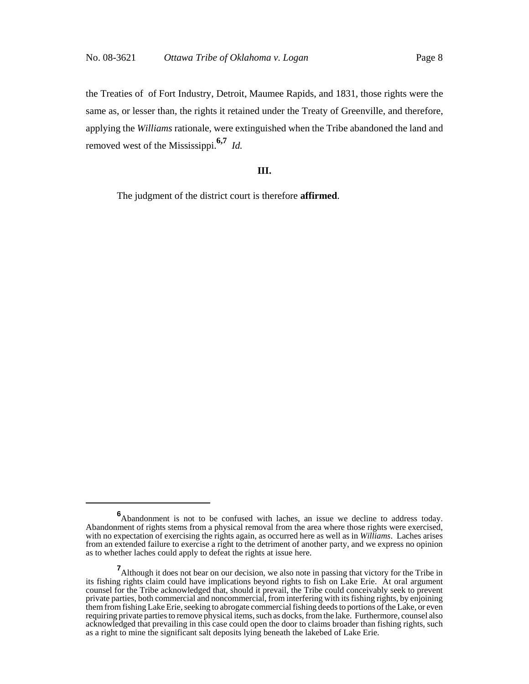the Treaties of of Fort Industry, Detroit, Maumee Rapids, and 1831, those rights were the same as, or lesser than, the rights it retained under the Treaty of Greenville, and therefore, applying the *Williams* rationale, were extinguished when the Tribe abandoned the land and removed west of the Mississippi.**6,7** *Id.*

## **III.**

The judgment of the district court is therefore **affirmed**.

**<sup>6</sup>** Abandonment is not to be confused with laches, an issue we decline to address today. Abandonment of rights stems from a physical removal from the area where those rights were exercised, with no expectation of exercising the rights again, as occurred here as well as in *Williams*. Laches arises from an extended failure to exercise a right to the detriment of another party, and we express no opinion as to whether laches could apply to defeat the rights at issue here.

**<sup>7</sup>**<br>Although it does not bear on our decision, we also note in passing that victory for the Tribe in its fishing rights claim could have implications beyond rights to fish on Lake Erie. At oral argument counsel for the Tribe acknowledged that, should it prevail, the Tribe could conceivably seek to prevent private parties, both commercial and noncommercial, from interfering with its fishing rights, by enjoining them from fishing Lake Erie, seeking to abrogate commercial fishing deeds to portions of the Lake, or even requiring private parties to remove physical items, such as docks, from the lake. Furthermore, counsel also acknowledged that prevailing in this case could open the door to claims broader than fishing rights, such as a right to mine the significant salt deposits lying beneath the lakebed of Lake Erie.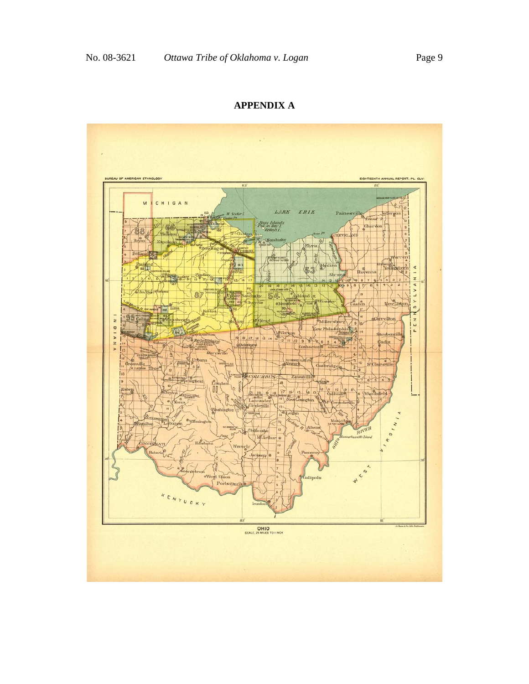## **APPENDIX A**

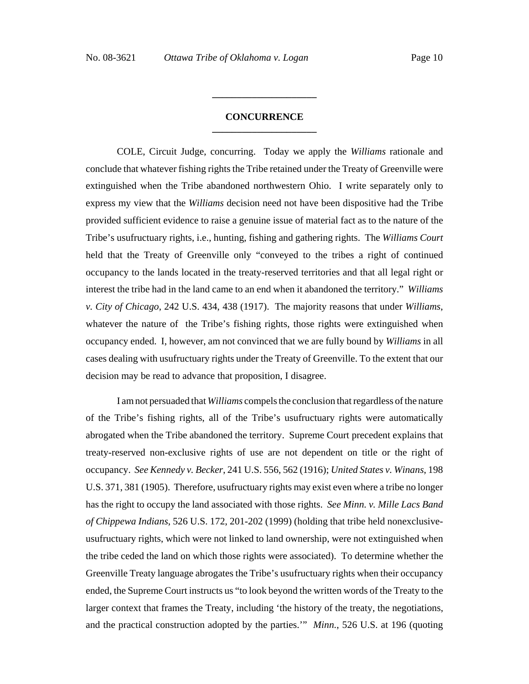## **CONCURRENCE \_\_\_\_\_\_\_\_\_\_\_\_\_\_\_\_\_\_\_\_\_**

**\_\_\_\_\_\_\_\_\_\_\_\_\_\_\_\_\_\_\_\_\_**

COLE, Circuit Judge, concurring. Today we apply the *Williams* rationale and conclude that whatever fishing rights the Tribe retained under the Treaty of Greenville were extinguished when the Tribe abandoned northwestern Ohio. I write separately only to express my view that the *Williams* decision need not have been dispositive had the Tribe provided sufficient evidence to raise a genuine issue of material fact as to the nature of the Tribe's usufructuary rights, i.e., hunting, fishing and gathering rights. The *Williams Court* held that the Treaty of Greenville only "conveyed to the tribes a right of continued occupancy to the lands located in the treaty-reserved territories and that all legal right or interest the tribe had in the land came to an end when it abandoned the territory." *Williams v. City of Chicago*, 242 U.S. 434, 438 (1917). The majority reasons that under *Williams*, whatever the nature of the Tribe's fishing rights, those rights were extinguished when occupancy ended. I, however, am not convinced that we are fully bound by *Williams* in all cases dealing with usufructuary rights under the Treaty of Greenville. To the extent that our decision may be read to advance that proposition, I disagree.

I am not persuaded that *Williams* compels the conclusion that regardless of the nature of the Tribe's fishing rights, all of the Tribe's usufructuary rights were automatically abrogated when the Tribe abandoned the territory. Supreme Court precedent explains that treaty-reserved non-exclusive rights of use are not dependent on title or the right of occupancy. *See Kennedy v. Becker*, 241 U.S. 556, 562 (1916); *United States v. Winans*, 198 U.S. 371, 381 (1905). Therefore, usufructuary rights may exist even where a tribe no longer has the right to occupy the land associated with those rights. *See Minn. v. Mille Lacs Band of Chippewa Indians*, 526 U.S. 172, 201-202 (1999) (holding that tribe held nonexclusiveusufructuary rights, which were not linked to land ownership, were not extinguished when the tribe ceded the land on which those rights were associated). To determine whether the Greenville Treaty language abrogates the Tribe's usufructuary rights when their occupancy ended, the Supreme Court instructs us "to look beyond the written words of the Treaty to the larger context that frames the Treaty, including 'the history of the treaty, the negotiations, and the practical construction adopted by the parties.'" *Minn.*, 526 U.S. at 196 (quoting